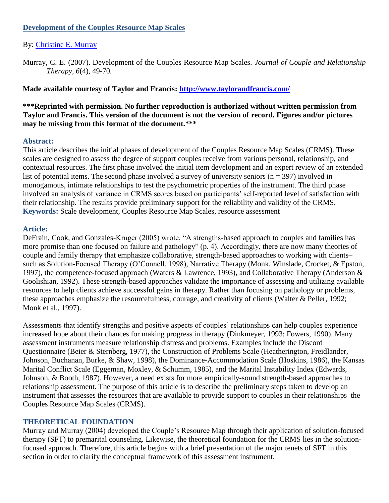### **Development of the Couples Resource Map Scales**

### By: [Christine E. Murray](http://libres.uncg.edu/ir/uncg/clist.aspx?id=894)

Murray, C. E. (2007). Development of the Couples Resource Map Scales. *Journal of Couple and Relationship Therapy, 6*(4), 49-70*.*

**Made available courtesy of Taylor and Francis:<http://www.taylorandfrancis.com/>**

## **\*\*\*Reprinted with permission. No further reproduction is authorized without written permission from Taylor and Francis. This version of the document is not the version of record. Figures and/or pictures may be missing from this format of the document.\*\*\***

#### **Abstract:**

This article describes the initial phases of development of the Couples Resource Map Scales (CRMS). These scales are designed to assess the degree of support couples receive from various personal, relationship, and contextual resources. The first phase involved the initial item development and an expert review of an extended list of potential items. The second phase involved a survey of university seniors ( $n = 397$ ) involved in monogamous, intimate relationships to test the psychometric properties of the instrument. The third phase involved an analysis of variance in CRMS scores based on participants' self-reported level of satisfaction with their relationship. The results provide preliminary support for the reliability and validity of the CRMS. **Keywords:** Scale development, Couples Resource Map Scales, resource assessment

#### **Article:**

DeFrain, Cook, and Gonzales-Kruger (2005) wrote, "A strengths-based approach to couples and families has more promise than one focused on failure and pathology" (p. 4). Accordingly, there are now many theories of couple and family therapy that emphasize collaborative, strength-based approaches to working with clients– such as Solution-Focused Therapy (O"Connell, 1998), Narrative Therapy (Monk, Winslade, Crocket, & Epston, 1997), the competence-focused approach (Waters & Lawrence, 1993), and Collaborative Therapy (Anderson & Goolishian, 1992). These strength-based approaches validate the importance of assessing and utilizing available resources to help clients achieve successful gains in therapy. Rather than focusing on pathology or problems, these approaches emphasize the resourcefulness, courage, and creativity of clients (Walter & Peller, 1992; Monk et al., 1997).

Assessments that identify strengths and positive aspects of couples' relationships can help couples experience increased hope about their chances for making progress in therapy (Dinkmeyer, 1993; Fowers, 1990). Many assessment instruments measure relationship distress and problems. Examples include the Discord Questionnaire (Beier & Sternberg, 1977), the Construction of Problems Scale (Heatherington, Freidlander, Johnson, Buchanan, Burke, & Shaw, 1998), the Dominance-Accommodation Scale (Hoskins, 1986), the Kansas Marital Conflict Scale (Eggeman, Moxley, & Schumm, 1985), and the Marital Instability Index (Edwards, Johnson, & Booth, 1987). However, a need exists for more empirically-sound strength-based approaches to relationship assessment. The purpose of this article is to describe the preliminary steps taken to develop an instrument that assesses the resources that are available to provide support to couples in their relationships–the Couples Resource Map Scales (CRMS).

#### **THEORETICAL FOUNDATION**

Murray and Murray (2004) developed the Couple"s Resource Map through their application of solution-focused therapy (SFT) to premarital counseling. Likewise, the theoretical foundation for the CRMS lies in the solutionfocused approach. Therefore, this article begins with a brief presentation of the major tenets of SFT in this section in order to clarify the conceptual framework of this assessment instrument.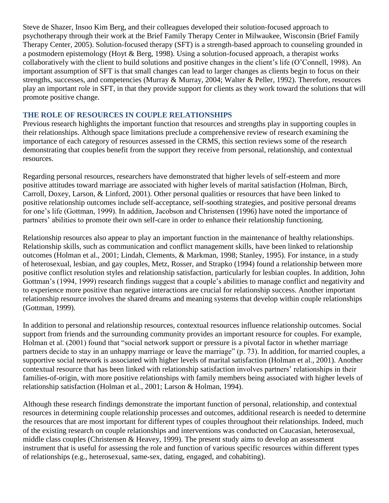Steve de Shazer, Insoo Kim Berg, and their colleagues developed their solution-focused approach to psychotherapy through their work at the Brief Family Therapy Center in Milwaukee, Wisconsin (Brief Family Therapy Center, 2005). Solution-focused therapy (SFT) is a strength-based approach to counseling grounded in a postmodern epistemology (Hoyt & Berg, 1998). Using a solution-focused approach, a therapist works collaboratively with the client to build solutions and positive changes in the client"s life (O"Connell, 1998). An important assumption of SFT is that small changes can lead to larger changes as clients begin to focus on their strengths, successes, and competencies (Murray & Murray, 2004; Walter & Peller, 1992). Therefore, resources play an important role in SFT, in that they provide support for clients as they work toward the solutions that will promote positive change.

#### **THE ROLE OF RESOURCES IN COUPLE RELATIONSHIPS**

Previous research highlights the important function that resources and strengths play in supporting couples in their relationships. Although space limitations preclude a comprehensive review of research examining the importance of each category of resources assessed in the CRMS, this section reviews some of the research demonstrating that couples benefit from the support they receive from personal, relationship, and contextual resources.

Regarding personal resources, researchers have demonstrated that higher levels of self-esteem and more positive attitudes toward marriage are associated with higher levels of marital satisfaction (Holman, Birch, Carroll, Doxey, Larson, & Linford, 2001). Other personal qualities or resources that have been linked to positive relationship outcomes include self-acceptance, self-soothing strategies, and positive personal dreams for one"s life (Gottman, 1999). In addition, Jacobson and Christensen (1996) have noted the importance of partners' abilities to promote their own self-care in order to enhance their relationship functioning.

Relationship resources also appear to play an important function in the maintenance of healthy relationships. Relationship skills, such as communication and conflict management skills, have been linked to relationship outcomes (Holman et al., 2001; Lindah, Clements, & Markman, 1998; Stanley, 1995). For instance, in a study of heterosexual, lesbian, and gay couples, Metz, Rosser, and Strapko (1994) found a relationship between more positive conflict resolution styles and relationship satisfaction, particularly for lesbian couples. In addition, John Gottman's (1994, 1999) research findings suggest that a couple's abilities to manage conflict and negativity and to experience more positive than negative interactions are crucial for relationship success. Another important relationship resource involves the shared dreams and meaning systems that develop within couple relationships (Gottman, 1999).

In addition to personal and relationship resources, contextual resources influence relationship outcomes. Social support from friends and the surrounding community provides an important resource for couples. For example, Holman et al. (2001) found that "social network support or pressure is a pivotal factor in whether marriage partners decide to stay in an unhappy marriage or leave the marriage" (p. 73). In addition, for married couples, a supportive social network is associated with higher levels of marital satisfaction (Holman et al., 2001). Another contextual resource that has been linked with relationship satisfaction involves partners" relationships in their families-of-origin, with more positive relationships with family members being associated with higher levels of relationship satisfaction (Holman et al., 2001; Larson & Holman, 1994).

Although these research findings demonstrate the important function of personal, relationship, and contextual resources in determining couple relationship processes and outcomes, additional research is needed to determine the resources that are most important for different types of couples throughout their relationships. Indeed, much of the existing research on couple relationships and interventions was conducted on Caucasian, heterosexual, middle class couples (Christensen & Heavey, 1999). The present study aims to develop an assessment instrument that is useful for assessing the role and function of various specific resources within different types of relationships (e.g., heterosexual, same-sex, dating, engaged, and cohabiting).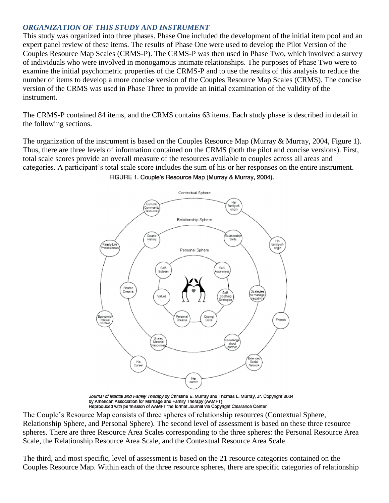# *ORGANIZATION OF THIS STUDY AND INSTRUMENT*

This study was organized into three phases. Phase One included the development of the initial item pool and an expert panel review of these items. The results of Phase One were used to develop the Pilot Version of the Couples Resource Map Scales (CRMS-P). The CRMS-P was then used in Phase Two, which involved a survey of individuals who were involved in monogamous intimate relationships. The purposes of Phase Two were to examine the initial psychometric properties of the CRMS-P and to use the results of this analysis to reduce the number of items to develop a more concise version of the Couples Resource Map Scales (CRMS). The concise version of the CRMS was used in Phase Three to provide an initial examination of the validity of the instrument.

The CRMS-P contained 84 items, and the CRMS contains 63 items. Each study phase is described in detail in the following sections.

The organization of the instrument is based on the Couples Resource Map (Murray & Murray, 2004, Figure 1). Thus, there are three levels of information contained on the CRMS (both the pilot and concise versions). First, total scale scores provide an overall measure of the resources available to couples across all areas and categories. A participant's total scale score includes the sum of his or her responses on the entire instrument. FIGURE 1. Couple's Resource Map (Murray & Murray, 2004).



Journal of Marital and Family Therapy by Christine E. Murray and Thomas L. Murray, Jr. Copyright 2004 by American Association for Marriage and Family Therapy (AAMFT).<br>Reproduced with permission of AAMFT the format Journal via Copyright Clearance Center.

The Couple"s Resource Map consists of three spheres of relationship resources (Contextual Sphere, Relationship Sphere, and Personal Sphere). The second level of assessment is based on these three resource spheres. There are three Resource Area Scales corresponding to the three spheres: the Personal Resource Area Scale, the Relationship Resource Area Scale, and the Contextual Resource Area Scale.

The third, and most specific, level of assessment is based on the 21 resource categories contained on the Couples Resource Map. Within each of the three resource spheres, there are specific categories of relationship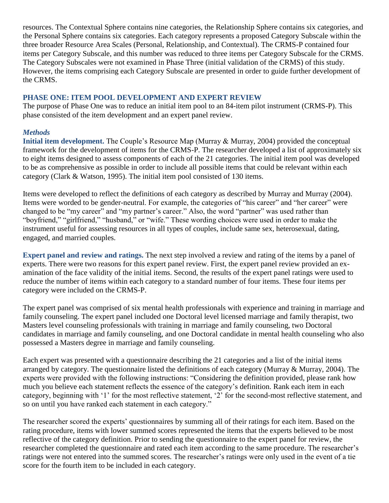resources. The Contextual Sphere contains nine categories, the Relationship Sphere contains six categories, and the Personal Sphere contains six categories. Each category represents a proposed Category Subscale within the three broader Resource Area Scales (Personal, Relationship, and Contextual). The CRMS-P contained four items per Category Subscale, and this number was reduced to three items per Category Subscale for the CRMS. The Category Subscales were not examined in Phase Three (initial validation of the CRMS) of this study. However, the items comprising each Category Subscale are presented in order to guide further development of the CRMS.

### **PHASE ONE: ITEM POOL DEVELOPMENT AND EXPERT REVIEW**

The purpose of Phase One was to reduce an initial item pool to an 84-item pilot instrument (CRMS-P). This phase consisted of the item development and an expert panel review.

## *Methods*

**Initial item development.** The Couple's Resource Map (Murray & Murray, 2004) provided the conceptual framework for the development of items for the CRMS-P. The researcher developed a list of approximately six to eight items designed to assess components of each of the 21 categories. The initial item pool was developed to be as comprehensive as possible in order to include all possible items that could be relevant within each category (Clark & Watson, 1995). The initial item pool consisted of 130 items.

Items were developed to reflect the definitions of each category as described by Murray and Murray (2004). Items were worded to be gender-neutral. For example, the categories of "his career" and "her career" were changed to be "my career" and "my partner"s career." Also, the word "partner" was used rather than "boyfriend," "girlfriend," "husband," or "wife." These wording choices were used in order to make the instrument useful for assessing resources in all types of couples, include same sex, heterosexual, dating, engaged, and married couples.

**Expert panel and review and ratings.** The next step involved a review and rating of the items by a panel of experts. There were two reasons for this expert panel review. First, the expert panel review provided an examination of the face validity of the initial items. Second, the results of the expert panel ratings were used to reduce the number of items within each category to a standard number of four items. These four items per category were included on the CRMS-P.

The expert panel was comprised of six mental health professionals with experience and training in marriage and family counseling. The expert panel included one Doctoral level licensed marriage and family therapist, two Masters level counseling professionals with training in marriage and family counseling, two Doctoral candidates in marriage and family counseling, and one Doctoral candidate in mental health counseling who also possessed a Masters degree in marriage and family counseling.

Each expert was presented with a questionnaire describing the 21 categories and a list of the initial items arranged by category. The questionnaire listed the definitions of each category (Murray & Murray, 2004). The experts were provided with the following instructions: "Considering the definition provided, please rank how much you believe each statement reflects the essence of the category"s definition. Rank each item in each category, beginning with "1" for the most reflective statement, "2" for the second-most reflective statement, and so on until you have ranked each statement in each category."

The researcher scored the experts" questionnaires by summing all of their ratings for each item. Based on the rating procedure, items with lower summed scores represented the items that the experts believed to be most reflective of the category definition. Prior to sending the questionnaire to the expert panel for review, the researcher completed the questionnaire and rated each item according to the same procedure. The researcher's ratings were not entered into the summed scores. The researcher"s ratings were only used in the event of a tie score for the fourth item to be included in each category.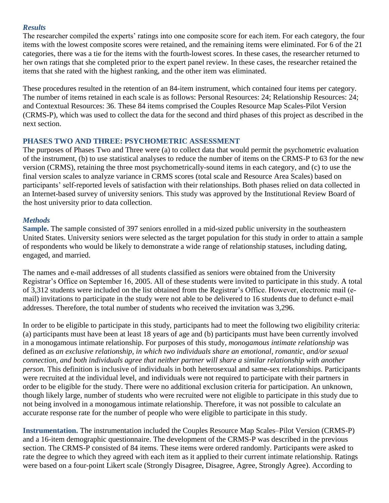#### *Results*

The researcher compiled the experts' ratings into one composite score for each item. For each category, the four items with the lowest composite scores were retained, and the remaining items were eliminated. For 6 of the 21 categories, there was a tie for the items with the fourth-lowest scores. In these cases, the researcher returned to her own ratings that she completed prior to the expert panel review. In these cases, the researcher retained the items that she rated with the highest ranking, and the other item was eliminated.

These procedures resulted in the retention of an 84-item instrument, which contained four items per category. The number of items retained in each scale is as follows: Personal Resources: 24; Relationship Resources: 24; and Contextual Resources: 36. These 84 items comprised the Couples Resource Map Scales-Pilot Version (CRMS-P), which was used to collect the data for the second and third phases of this project as described in the next section.

### **PHASES TWO AND THREE: PSYCHOMETRIC ASSESSMENT**

The purposes of Phases Two and Three were (a) to collect data that would permit the psychometric evaluation of the instrument, (b) to use statistical analyses to reduce the number of items on the CRMS-P to 63 for the new version (CRMS), retaining the three most psychometrically-sound items in each category, and (c) to use the final version scales to analyze variance in CRMS scores (total scale and Resource Area Scales) based on participants" self-reported levels of satisfaction with their relationships. Both phases relied on data collected in an Internet-based survey of university seniors. This study was approved by the Institutional Review Board of the host university prior to data collection.

### *Methods*

**Sample.** The sample consisted of 397 seniors enrolled in a mid-sized public university in the southeastern United States. University seniors were selected as the target population for this study in order to attain a sample of respondents who would be likely to demonstrate a wide range of relationship statuses, including dating, engaged, and married.

The names and e-mail addresses of all students classified as seniors were obtained from the University Registrar"s Office on September 16, 2005. All of these students were invited to participate in this study. A total of 3,312 students were included on the list obtained from the Registrar"s Office. However, electronic mail (email) invitations to participate in the study were not able to be delivered to 16 students due to defunct e-mail addresses. Therefore, the total number of students who received the invitation was 3,296.

In order to be eligible to participate in this study, participants had to meet the following two eligibility criteria: (a) participants must have been at least 18 years of age and (b) participants must have been currently involved in a monogamous intimate relationship. For purposes of this study, *monogamous intimate relationship* was defined as *an exclusive relationship, in which two individuals share an emotional, romantic, and/or sexual connection, and both individuals agree that neither partner will share a similar relationship with another person.* This definition is inclusive of individuals in both heterosexual and same-sex relationships. Participants were recruited at the individual level, and individuals were not required to participate with their partners in order to be eligible for the study. There were no additional exclusion criteria for participation. An unknown, though likely large, number of students who were recruited were not eligible to participate in this study due to not being involved in a monogamous intimate relationship. Therefore, it was not possible to calculate an accurate response rate for the number of people who were eligible to participate in this study.

**Instrumentation.** The instrumentation included the Couples Resource Map Scales–Pilot Version (CRMS-P) and a 16-item demographic questionnaire. The development of the CRMS-P was described in the previous section. The CRMS-P consisted of 84 items. These items were ordered randomly. Participants were asked to rate the degree to which they agreed with each item as it applied to their current intimate relationship. Ratings were based on a four-point Likert scale (Strongly Disagree, Disagree, Agree, Strongly Agree). According to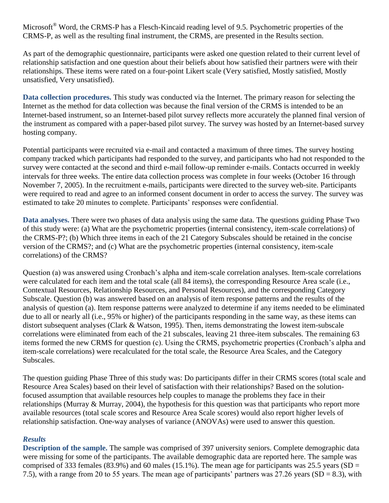Microsoft® Word, the CRMS-P has a Flesch-Kincaid reading level of 9.5. Psychometric properties of the CRMS-P, as well as the resulting final instrument, the CRMS, are presented in the Results section.

As part of the demographic questionnaire, participants were asked one question related to their current level of relationship satisfaction and one question about their beliefs about how satisfied their partners were with their relationships. These items were rated on a four-point Likert scale (Very satisfied, Mostly satisfied, Mostly unsatisfied, Very unsatisfied).

**Data collection procedures.** This study was conducted via the Internet. The primary reason for selecting the Internet as the method for data collection was because the final version of the CRMS is intended to be an Internet-based instrument, so an Internet-based pilot survey reflects more accurately the planned final version of the instrument as compared with a paper-based pilot survey. The survey was hosted by an Internet-based survey hosting company.

Potential participants were recruited via e-mail and contacted a maximum of three times. The survey hosting company tracked which participants had responded to the survey, and participants who had not responded to the survey were contacted at the second and third e-mail follow-up reminder e-mails. Contacts occurred in weekly intervals for three weeks. The entire data collection process was complete in four weeks (October 16 through November 7, 2005). In the recruitment e-mails, participants were directed to the survey web-site. Participants were required to read and agree to an informed consent document in order to access the survey. The survey was estimated to take 20 minutes to complete. Participants' responses were confidential.

**Data analyses.** There were two phases of data analysis using the same data. The questions guiding Phase Two of this study were: (a) What are the psychometric properties (internal consistency, item-scale correlations) of the CRMS-P?; (b) Which three items in each of the 21 Category Subscales should be retained in the concise version of the CRMS?; and (c) What are the psychometric properties (internal consistency, item-scale correlations) of the CRMS?

Question (a) was answered using Cronbach"s alpha and item-scale correlation analyses. Item-scale correlations were calculated for each item and the total scale (all 84 items), the corresponding Resource Area scale (i.e., Contextual Resources, Relationship Resources, and Personal Resources), and the corresponding Category Subscale. Question (b) was answered based on an analysis of item response patterns and the results of the analysis of question (a). Item response patterns were analyzed to determine if any items needed to be eliminated due to all or nearly all (i.e., 95% or higher) of the participants responding in the same way, as these items can distort subsequent analyses (Clark & Watson, 1995). Then, items demonstrating the lowest item-subscale correlations were eliminated from each of the 21 subscales, leaving 21 three-item subscales. The remaining 63 items formed the new CRMS for question (c). Using the CRMS, psychometric properties (Cronbach"s alpha and item-scale correlations) were recalculated for the total scale, the Resource Area Scales, and the Category Subscales.

The question guiding Phase Three of this study was: Do participants differ in their CRMS scores (total scale and Resource Area Scales) based on their level of satisfaction with their relationships? Based on the solutionfocused assumption that available resources help couples to manage the problems they face in their relationships (Murray & Murray, 2004), the hypothesis for this question was that participants who report more available resources (total scale scores and Resource Area Scale scores) would also report higher levels of relationship satisfaction. One-way analyses of variance (ANOVAs) were used to answer this question.

# *Results*

**Description of the sample.** The sample was comprised of 397 university seniors. Complete demographic data were missing for some of the participants. The available demographic data are reported here. The sample was comprised of 333 females (83.9%) and 60 males (15.1%). The mean age for participants was 25.5 years (SD = 7.5), with a range from 20 to 55 years. The mean age of participants' partners was  $27.26$  years (SD = 8.3), with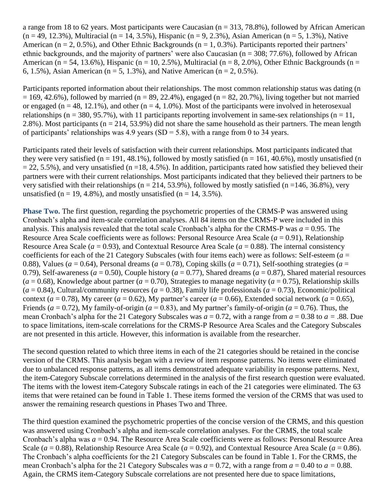a range from 18 to 62 years. Most participants were Caucasian (n = 313, 78.8%), followed by African American  $(n = 49, 12.3\%)$ , Multiracial (n = 14, 3.5%), Hispanic (n = 9, 2.3%), Asian American (n = 5, 1.3%), Native American ( $n = 2, 0.5\%$ ), and Other Ethnic Backgrounds ( $n = 1, 0.3\%$ ). Participants reported their partners' ethnic backgrounds, and the majority of partners' were also Caucasian ( $n = 308$ ; 77.6%), followed by African American (n = 54, 13.6%), Hispanic (n = 10, 2.5%), Multiracial (n = 8, 2.0%), Other Ethnic Backgrounds (n = 6, 1.5%), Asian American ( $n = 5, 1.3$ %), and Native American ( $n = 2, 0.5$ %).

Participants reported information about their relationships. The most common relationship status was dating (n  $= 169, 42.6\%$ ), followed by married (n = 89, 22.4%), engaged (n = 82, 20.7%), living together but not married or engaged (n = 48, 12.1%), and other (n = 4, 1.0%). Most of the participants were involved in heterosexual relationships ( $n = 380, 95.7\%$ ), with 11 participants reporting involvement in same-sex relationships ( $n = 11$ , 2.8%). Most participants ( $n = 214, 53.9\%$ ) did not share the same household as their partners. The mean length of participants' relationships was 4.9 years (SD = 5.8), with a range from 0 to 34 years.

Participants rated their levels of satisfaction with their current relationships. Most participants indicated that they were very satisfied (n = 191, 48.1%), followed by mostly satisfied (n = 161, 40.6%), mostly unsatisfied (n  $= 22, 5.5\%$ ), and very unsatisfied (n =18, 4.5%). In addition, participants rated how satisfied they believed their partners were with their current relationships. Most participants indicated that they believed their partners to be very satisfied with their relationships ( $n = 214, 53.9\%$ ), followed by mostly satisfied ( $n = 146, 36.8\%$ ), very unsatisfied ( $n = 19, 4.8\%$ ), and mostly unsatisfied ( $n = 14, 3.5\%$ ).

**Phase Two.** The first question, regarding the psychometric properties of the CRMS-P was answered using Cronbach"s alpha and item-scale correlation analyses. All 84 items on the CRMS-P were included in this analysis. This analysis revealed that the total scale Cronbach's alpha for the CRMS-P was  $a = 0.95$ . The Resource Area Scale coefficients were as follows: Personal Resource Area Scale (*a* = 0.91), Relationship Resource Area Scale ( $a = 0.93$ ), and Contextual Resource Area Scale ( $a = 0.88$ ). The internal consistency coefficients for each of the 21 Category Subscales (with four items each) were as follows: Self-esteem (*a* = 0.88), Values ( $a = 0.64$ ), Personal dreams ( $a = 0.78$ ), Coping skills ( $a = 0.71$ ), Self-soothing strategies ( $a = 0.78$ ) 0.79), Self-awareness ( $a = 0.50$ ), Couple history ( $a = 0.77$ ), Shared dreams ( $a = 0.87$ ), Shared material resources  $(a = 0.68)$ , Knowledge about partner  $(a = 0.70)$ , Strategies to manage negativity  $(a = 0.75)$ , Relationship skills  $(a = 0.84)$ , Cultural/community resources  $(a = 0.38)$ , Family life professionals  $(a = 0.73)$ , Economic/political context ( $a = 0.78$ ), My career ( $a = 0.62$ ), My partner's career ( $a = 0.66$ ), Extended social network ( $a = 0.65$ ), Friends ( $a = 0.72$ ), My family-of-origin ( $a = 0.83$ ), and My partner's family-of-origin ( $a = 0.76$ ). Thus, the mean Cronbach's alpha for the 21 Category Subscales was  $a = 0.72$ , with a range from  $a = 0.38$  to  $a = .88$ . Due to space limitations, item-scale correlations for the CRMS-P Resource Area Scales and the Category Subscales are not presented in this article. However, this information is available from the researcher.

The second question related to which three items in each of the 21 categories should be retained in the concise version of the CRMS. This analysis began with a review of item response patterns. No items were eliminated due to unbalanced response patterns, as all items demonstrated adequate variability in response patterns. Next, the item-Category Subscale correlations determined in the analysis of the first research question were evaluated. The items with the lowest item-Category Subscale ratings in each of the 21 categories were eliminated. The 63 items that were retained can be found in Table 1. These items formed the version of the CRMS that was used to answer the remaining research questions in Phases Two and Three.

The third question examined the psychometric properties of the concise version of the CRMS, and this question was answered using Cronbach's alpha and item-scale correlation analyses. For the CRMS, the total scale Cronbach"s alpha was *a* = 0.94. The Resource Area Scale coefficients were as follows: Personal Resource Area Scale (*a* = 0.88), Relationship Resource Area Scale (*a* = 0.92), and Contextual Resource Area Scale (*a* = 0.86). The Cronbach"s alpha coefficients for the 21 Category Subscales can be found in Table 1. For the CRMS, the mean Cronbach's alpha for the 21 Category Subscales was  $a = 0.72$ , with a range from  $a = 0.40$  to  $a = 0.88$ . Again, the CRMS item-Category Subscale correlations are not presented here due to space limitations,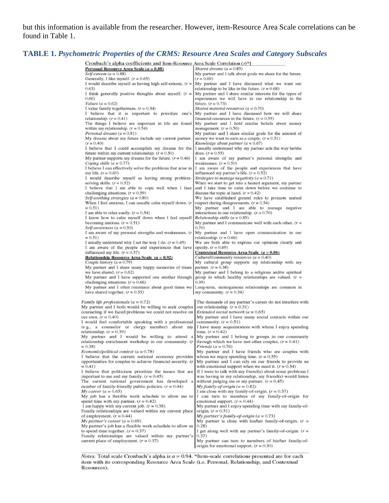but this information is available from the researcher. However, item-Resource Area Scale correlations can be found in Table 1.

# **TABLE 1.** *Psychometric Properties of the CRMS: Resource Area Scales and Category Subscales*

| Cronbach's alpha coefficients and Item-Resource Area Scale Correlation $(r)^*$ ]<br>Personal Resource Area Scale (a = 0.88) | Shared dreams $(a = 0.85)$                                                                                             |
|-----------------------------------------------------------------------------------------------------------------------------|------------------------------------------------------------------------------------------------------------------------|
| Self-esteem $(a = 0.88)$                                                                                                    | My partner and I talk about goals we share for the future.                                                             |
| Generally, I like myself. $(r = 0.65)$                                                                                      | $(r = 0.69)$                                                                                                           |
| I would describe myself as having high self-esteem. $(r =$                                                                  | My partner and I have discussed what we want our                                                                       |
| (0.63)<br>I think generally positive thoughts about myself. $(r =$                                                          | relationship to be like in the future. $(r = 0.68)$<br>My partner and I share similar interests for the types of       |
| 0.66                                                                                                                        | experiences we will have in our relationship in the                                                                    |
| Values ( $a = 0.62$ )                                                                                                       | future. $(r = 0.73)$                                                                                                   |
| I value family togetherness. $(r = 0.34)$                                                                                   | Shared material resources ( $a = 0.70$ )                                                                               |
| I believe that it is important to prioritize one's                                                                          | My partner and I have discussed how we will share                                                                      |
| relationship. $(r = 0.41)$                                                                                                  | financial resources in the future. $(r = 0.55)$                                                                        |
| The things I believe are important in life are found                                                                        | My partner and I hold similar beliefs about money<br>management. $(r = 0.56)$                                          |
| within my relationship. $(r = 0.54)$<br>Personal dreams $(a = 0.81)$                                                        | My partner and I share similar goals for the amount of                                                                 |
| My dreams about my future include my current partner.                                                                       | money we want to earn as a couple. $(r = 0.51)$                                                                        |
| $(r = 0.40)$                                                                                                                | <i>Knowledge about partner</i> $(a = 0.67)$                                                                            |
| I believe that I could accomplish my dreams for the                                                                         | I usually understand why my partner acts the way he/she                                                                |
| future within my current relationship. $(r = 0.50)$                                                                         | does. $(r = 0.55)$                                                                                                     |
| My partner supports my dreams for the future. $(r = 0.46)$                                                                  | I am aware of my partner's personal strengths and                                                                      |
| Coping skills $(a = 0.77)$<br>I believe I can effectively solve the problems that arise in                                  | weaknesses. $(r = 0.50)$<br>I am aware of the people and experiences that have                                         |
| my life. $(r = 0.60)$                                                                                                       | influenced my partner's life. $(r = 0.52)$                                                                             |
| I would describe myself as having strong problem-                                                                           | Strategies to manage negativity ( $a = 0.71$ )                                                                         |
| solving skills. $(r = 0.52)$                                                                                                | When we start to get into a heated argument, my partner                                                                |
| I believe that I am able to cope well when I face                                                                           | and I take time to calm down before we continue to                                                                     |
| challenging situations. $(r = 0.59)$                                                                                        | discuss the topic at hand. $(r = 0.42)$                                                                                |
| Self-soothing strategies $(a = 0.80)$<br>When I feel anxious, I can usually calm myself down. (r                            | We have established ground rules to promote mutual<br>respect during disagreements. $(r = 0.54)$                       |
| $= 0.51$                                                                                                                    | My partner and I are able to manage negative                                                                           |
| I am able to relax easily. $(r = 0.54)$                                                                                     | interactions in our relationship. $(r = 0.70)$                                                                         |
| I know how to calm myself down when I feel myself                                                                           | <i>Relationship skills</i> $(a = 0.85)$                                                                                |
| becoming anxious. $(r = 0.51)$                                                                                              | My partner and I communicate well with each other. $(r =$                                                              |
| Self-awareness $(a = 0.50)$                                                                                                 | 0.70                                                                                                                   |
| I am aware of my personal strengths and weaknesses. (r<br>$= 0.51$                                                          | My partner and I have open communication in our<br>relationship. $(r = 0.66)$                                          |
| I usually understand why I act the way I do. $(r = 0.45)$                                                                   | We are both able to express our opinions clearly and                                                                   |
| I am aware of the people and experiences that have                                                                          | openly. $(r = 0.69)$                                                                                                   |
| influenced my life. $(r = 0.37)$                                                                                            | Contextual Resource Area Scale $(a = 0.86)$                                                                            |
| <b>Relationship Resource Area Scale (<math>a = 0.92</math>)</b>                                                             | Cultural/community resources $(a = 0.40)$                                                                              |
| Couple history $(a = 0.79)$                                                                                                 | My cultural group supports my relationship with my                                                                     |
| My partner and I share many happy memories of times<br>we have shared. $(r = 0.62)$                                         | partner. $(r = 0.38)$<br>My partner and I belong to a religious and/or spiritual                                       |
| My partner and I have supported one another through                                                                         | group in which healthy relationships are valued. $(r =$                                                                |
| challenging situations. $(r = 0.66)$                                                                                        | (0.39)                                                                                                                 |
|                                                                                                                             | My partner and I often reminisce about good times we Long-term, monogamous relationships are common in                 |
| have shared together. $(r = 0.53)$                                                                                          | my community. $(r = 0.34)$                                                                                             |
| Family life professionals ( $a = 0.72$ )                                                                                    | The demands of my partner's career do not interfere with                                                               |
| My partner and I both would be willing to seek couples                                                                      | our relationship. $(r = 0.31)$                                                                                         |
| counseling if we faced problems we could not resolve on                                                                     | Extended social network $(a = 0.65)$                                                                                   |
| our own. $(r = 0.40)$                                                                                                       | My partner and I have many social contacts within our                                                                  |
| I would feel comfortable speaking with a professional                                                                       | community. $(r = 0.51)$                                                                                                |
| (e.g., a counselor or clergy member) about my                                                                               | I have many acquaintances with whom I enjoy spending                                                                   |
| relationship. $(r = 0.39)$                                                                                                  | time. $(r = 0.42)$<br>My partner and I would be willing to attend a My partner and I belong to groups in our community |
| relationship enrichment workshop in our community. (r through which we have met other couples. $(r = 0.41)$                 |                                                                                                                        |
| $= 0.38$                                                                                                                    | Friends ( $a = 0.76$ )                                                                                                 |
| Economic/political context $(a = 0.78)$                                                                                     | My partner and I have friends who are couples with                                                                     |
| I believe that the current national economy provides                                                                        | whom we enjoy spending time. $(r = 0.55)$                                                                              |
| opportunities for couples to achieve financial security. (r                                                                 | My partner and I can rely on our friends to provide us                                                                 |
| $= 0.41$<br>I believe that politicians prioritize the issues that are                                                       | with emotional support when we need it. $(r = 0.54)$                                                                   |
| important to me and my family. $(r = 0.45)$                                                                                 | If I were to talk with my friend(s) about some problems I<br>was having in my relationship, my friend(s) would listen  |
| The current national government has developed a                                                                             | without judging me or my partner. $(r = 0.45)$                                                                         |
| number of family-friendly public policies. $(r = 0.44)$                                                                     | My family-of-origin $(a = 0.82)$                                                                                       |
| My career $(a = 0.65)$                                                                                                      | I am close with my family-of-origin. $(r = 0.37)$                                                                      |
| My job has a flexible work schedule to allow me to                                                                          | I can turn to members of my family-of-origin for                                                                       |
| spend time with my partner. $(r = 0.42)$                                                                                    | emotional support. $(r = 0.44)$                                                                                        |
| I am happy with my current job. $(r = 0.38)$<br>Family relationships are valued within my current place                     | My partner and I enjoy spending time with my family-of-<br>origin. $(r = 0.51)$                                        |
| of employment. $(r = 0.44)$                                                                                                 | My partner's family-of-origin ( $a = 0.73$ )                                                                           |
| My partner's career $(a = 0.69)$                                                                                            | My partner is close with his/her family-of-origin. $(r =$                                                              |
| My partner's job has a flexible work schedule to allow us                                                                   | (0.28)                                                                                                                 |
| to spend time together. $(r = 0.37)$                                                                                        | I get along well with my partner's family-of-origin. $(r =$                                                            |
| Family relationships are valued within my partner's                                                                         | (0.37)                                                                                                                 |
| current place of employment. $(r = 0.37)$                                                                                   | My partner can turn to members of his/her family-of-<br>origin for emotional support. $(r = 0.30)$                     |
|                                                                                                                             |                                                                                                                        |

*Notes*. Total scale Cronbach's alpha is  $a = 0.94$ . \*Item-scale correlations presented are for each item with its corresponding Resource Area Scale (i.e. Personal, Relationship, and Contextual Resources).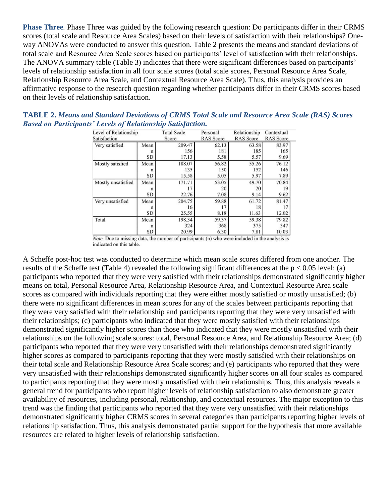**Phase Three***.* Phase Three was guided by the following research question: Do participants differ in their CRMS scores (total scale and Resource Area Scales) based on their levels of satisfaction with their relationships? Oneway ANOVAs were conducted to answer this question. Table 2 presents the means and standard deviations of total scale and Resource Area Scale scores based on participants" level of satisfaction with their relationships. The ANOVA summary table (Table 3) indicates that there were significant differences based on participants' levels of relationship satisfaction in all four scale scores (total scale scores, Personal Resource Area Scale, Relationship Resource Area Scale, and Contextual Resource Area Scale). Thus, this analysis provides an affirmative response to the research question regarding whether participants differ in their CRMS scores based on their levels of relationship satisfaction.

| Level of Relationship |             | <b>Total Scale</b> | Personal         | Relationship     | Contextual       |  |
|-----------------------|-------------|--------------------|------------------|------------------|------------------|--|
| Satisfaction          |             | Score              | <b>RAS</b> Score | <b>RAS</b> Score | <b>RAS</b> Score |  |
| Very satisfied        | Mean        | 209.47             | 62.13            | 63.58            | 83.97            |  |
|                       | n           | 156                | 181              | 185              | 165              |  |
|                       | <b>SD</b>   | 17.13              | 5.58             | 5.57             | 9.69             |  |
| Mostly satisfied      | Mean        | 188.07             | 56.82            | 55.26            | 76.12            |  |
|                       | $\mathbf n$ | 135                | 150              | 152              | 146              |  |
|                       | <b>SD</b>   | 15.58              | 5.05             | 5.97             | 7.89             |  |
| Mostly unsatisfied    | Mean        | 171.71             | 53.05            | 49.70            | 70.84            |  |
|                       | n           |                    | 20               | 20               | 19               |  |
|                       | <b>SD</b>   | 22.76              | 7.08             | 9.14             | 9.62             |  |
| Very unsatisfied      | Mean        | 204.75             | 59.88            | 61.72            | 81.47            |  |
|                       | n           | 16                 | 17               | 18               | 17               |  |
|                       | <b>SD</b>   | 25.55              | 8.18             | 11.63            | 12.02            |  |
| Total                 | Mean        | 198.34             | 59.37            | 59.38            | 79.82            |  |
|                       | n           | 324                | 368              | 375              | 347              |  |
|                       | SD          | 20.99              | 6.30             | 7.81             | 10.03            |  |

**TABLE 2.** *Means and Standard Deviations of CRMS Total Scale and Resource Area Scale (RAS) Scores Based on Participants' Levels of Relationship Satisfaction.*

> *Note.* Due to missing data, the number of participants (n) who were included in the analysis is indicated on this table.

A Scheffe post-hoc test was conducted to determine which mean scale scores differed from one another. The results of the Scheffe test (Table 4) revealed the following significant differences at the  $p < 0.05$  level: (a) participants who reported that they were very satisfied with their relationships demonstrated significantly higher means on total, Personal Resource Area, Relationship Resource Area, and Contextual Resource Area scale scores as compared with individuals reporting that they were either mostly satisfied or mostly unsatisfied; (b) there were no significant differences in mean scores for any of the scales between participants reporting that they were very satisfied with their relationship and participants reporting that they were very unsatisfied with their relationships; (c) participants who indicated that they were mostly satisfied with their relationships demonstrated significantly higher scores than those who indicated that they were mostly unsatisfied with their relationships on the following scale scores: total, Personal Resource Area, and Relationship Resource Area; (d) participants who reported that they were very unsatisfied with their relationships demonstrated significantly higher scores as compared to participants reporting that they were mostly satisfied with their relationships on their total scale and Relationship Resource Area Scale scores; and (e) participants who reported that they were very unsatisfied with their relationships demonstrated significantly higher scores on all four scales as compared to participants reporting that they were mostly unsatisfied with their relationships. Thus, this analysis reveals a general trend for participants who report higher levels of relationship satisfaction to also demonstrate greater availability of resources, including personal, relationship, and contextual resources. The major exception to this trend was the finding that participants who reported that they were very unsatisfied with their relationships demonstrated significantly higher CRMS scores in several categories than participants reporting higher levels of relationship satisfaction. Thus, this analysis demonstrated partial support for the hypothesis that more available resources are related to higher levels of relationship satisfaction.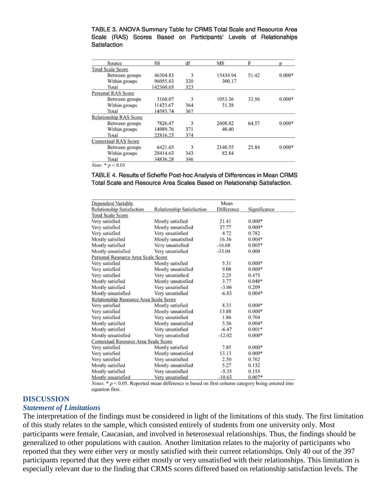| Source                        | SS        | df  | <b>MS</b> | F     |          |
|-------------------------------|-----------|-----|-----------|-------|----------|
| <b>Total Scale Score</b>      |           |     |           |       |          |
| Between groups                | 46304.83  | 3   | 15434.94  | 51.42 | $0.000*$ |
| Within groups                 | 96055.83  | 320 | 300.17    |       |          |
| Total                         | 142360.65 | 323 |           |       |          |
| <b>Personal RAS Score</b>     |           |     |           |       |          |
| Between groups                | 3160.07   | 3   | 1053.36   | 33.56 | $0.000*$ |
| Within groups                 | 11423.67  | 364 | 31.38     |       |          |
| Total                         | 14583.74  | 367 |           |       |          |
| <b>Relationship RAS Score</b> |           |     |           |       |          |
| Between groups                | 7826.47   | 3   | 2608.82   | 64.57 | $0.000*$ |
| Within groups                 | 14989.76  | 371 | 40.40     |       |          |
| Total                         | 22816.23  | 374 |           |       |          |
| <b>Contextual RAS Score</b>   |           |     |           |       |          |
| Between groups                | 6421.65   | 3   | 2140.55   | 25.84 | $0.000*$ |
| Within groups                 | 28414.63  | 343 | 82.84     |       |          |
| Total                         | 34836.28  | 346 |           |       |          |
| <i>Note.</i> * $p < 0.01$     |           |     |           |       |          |

TABLE 3. ANOVA Summary Table for CRMS Total Scale and Resource Area Scale (RAS) Scores Based on Participants' Levels of Relationships Satisfaction

TABLE 4. Results of Scheffe Post-hoc Analysis of Differences in Mean CRMS Total Scale and Resource Area Scales Based on Relationship Satisfaction.

| Dependent Variable                          |                                  | Mean       |              |
|---------------------------------------------|----------------------------------|------------|--------------|
| <b>Relationship Satisfaction</b>            | <b>Relationship Satisfaction</b> | Difference | Significance |
| <b>Total Scale Score</b>                    |                                  |            |              |
| Very satisfied                              | Mostly satisfied                 | 21.41      | $0.000*$     |
| Very satisfied                              | Mostly unsatisfied               | 37.77      | $0.000*$     |
| Very satisfied                              | Very unsatisfied                 | 4.72       | 0.782        |
| Mostly satisfied                            | Mostly unsatisfied               | 16.36      | $0.004*$     |
| Mostly satisfied                            | Very unsatisfied                 | $-16.68$   | $0.005*$     |
| Mostly unsatisfied                          | Very unsatisfied                 | $-33.04$   | 0.000        |
| Personal Resource Area Scale Score          |                                  |            |              |
| Very satisfied                              | Mostly satisfied                 | 5.31       | $0.000*$     |
| Very satisfied                              | Mostly unsatisfied               | 9.08       | $0.000*$     |
| Very satisfied                              | Very unsatisfied                 | 2.25       | 0.475        |
| Mostly satisfied                            | Mostly unsatisfied               | 3.77       | $0.048*$     |
| Mostly satisfied                            | Very unsatisfied                 | $-3.06$    | 0.209        |
| Mostly unsatisfied                          | Very unsatisfied                 | $-6.83$    | $0.004*$     |
| Relationship Resource Area Scale Score      |                                  |            |              |
| Very satisfied                              | Mostly satisfied                 | 8.33       | $0.000*$     |
| Very satisfied                              | Mostly unsatisfied               | 13.88      | $0.000*$     |
| Very satisfied                              | Very unsatisfied                 | 1.86       | 0.704        |
| Mostly satisfied                            | Mostly unsatisfied               | 5.56       | $0.004*$     |
| Mostly satisfied                            | Very unsatisfied                 | $-6.47$    | $0.001*$     |
| Mostly unsatisfied                          | Very unsatisfied                 | $-12.02$   | $0.000*$     |
| <b>Contextual Resource Area Scale Score</b> |                                  |            |              |
| Very satisfied                              | Mostly satisfied                 | 7.85       | $0.000*$     |
| Very satisfied                              | Mostly unsatisfied               | 13.13      | $0.000*$     |
| Very satisfied                              | Very unsatisfied                 | 2.50       | 0.762        |
| Mostly satisfied                            | Mostly unsatisfied               | 5.27       | 0.132        |
| Mostly satisfied                            | Very unsatisfied                 | $-5.35$    | 0.155        |
| Mostly unsatisfied                          | Very unsatisfied                 | $-10.63$   | $0.007*$     |

Notes.  $* p < 0.05$ . Reported mean difference is based on first column category being entered into equation first.

#### **DISCUSSION**

#### *Statement of Limitations*

The interpretation of the findings must be considered in light of the limitations of this study. The first limitation of this study relates to the sample, which consisted entirely of students from one university only. Most participants were female, Caucasian, and involved in heterosexual relationships. Thus, the findings should be generalized to other populations with caution. Another limitation relates to the majority of participants who reported that they were either very or mostly satisfied with their current relationships. Only 40 out of the 397 participants reported that they were either mostly or very unsatisfied with their relationships. This limitation is especially relevant due to the finding that CRMS scores differed based on relationship satisfaction levels. The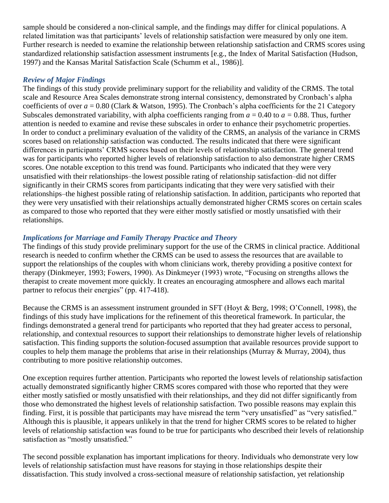sample should be considered a non-clinical sample, and the findings may differ for clinical populations. A related limitation was that participants" levels of relationship satisfaction were measured by only one item. Further research is needed to examine the relationship between relationship satisfaction and CRMS scores using standardized relationship satisfaction assessment instruments [e.g., the Index of Marital Satisfaction (Hudson, 1997) and the Kansas Marital Satisfaction Scale (Schumm et al., 1986)].

# *Review of Major Findings*

The findings of this study provide preliminary support for the reliability and validity of the CRMS. The total scale and Resource Area Scales demonstrate strong internal consistency, demonstrated by Cronbach"s alpha coefficients of over  $a = 0.80$  (Clark & Watson, 1995). The Cronbach's alpha coefficients for the 21 Category Subscales demonstrated variability, with alpha coefficients ranging from  $a = 0.40$  to  $a = 0.88$ . Thus, further attention is needed to examine and revise these subscales in order to enhance their psychometric properties. In order to conduct a preliminary evaluation of the validity of the CRMS, an analysis of the variance in CRMS scores based on relationship satisfaction was conducted. The results indicated that there were significant differences in participants" CRMS scores based on their levels of relationship satisfaction. The general trend was for participants who reported higher levels of relationship satisfaction to also demonstrate higher CRMS scores. One notable exception to this trend was found. Participants who indicated that they were very unsatisfied with their relationships–the lowest possible rating of relationship satisfaction–did not differ significantly in their CRMS scores from participants indicating that they were very satisfied with their relationships–the highest possible rating of relationship satisfaction. In addition, participants who reported that they were very unsatisfied with their relationships actually demonstrated higher CRMS scores on certain scales as compared to those who reported that they were either mostly satisfied or mostly unsatisfied with their relationships.

# *Implications for Marriage and Family Therapy Practice and Theory*

The findings of this study provide preliminary support for the use of the CRMS in clinical practice. Additional research is needed to confirm whether the CRMS can be used to assess the resources that are available to support the relationships of the couples with whom clinicians work, thereby providing a positive context for therapy (Dinkmeyer, 1993; Fowers, 1990). As Dinkmeyer (1993) wrote, "Focusing on strengths allows the therapist to create movement more quickly. It creates an encouraging atmosphere and allows each marital partner to refocus their energies" (pp. 417-418).

Because the CRMS is an assessment instrument grounded in SFT (Hoyt & Berg, 1998; O"Connell, 1998), the findings of this study have implications for the refinement of this theoretical framework. In particular, the findings demonstrated a general trend for participants who reported that they had greater access to personal, relationship, and contextual resources to support their relationships to demonstrate higher levels of relationship satisfaction. This finding supports the solution-focused assumption that available resources provide support to couples to help them manage the problems that arise in their relationships (Murray & Murray, 2004), thus contributing to more positive relationship outcomes.

One exception requires further attention. Participants who reported the lowest levels of relationship satisfaction actually demonstrated significantly higher CRMS scores compared with those who reported that they were either mostly satisfied or mostly unsatisfied with their relationships, and they did not differ significantly from those who demonstrated the highest levels of relationship satisfaction. Two possible reasons may explain this finding. First, it is possible that participants may have misread the term "very unsatisfied" as "very satisfied." Although this is plausible, it appears unlikely in that the trend for higher CRMS scores to be related to higher levels of relationship satisfaction was found to be true for participants who described their levels of relationship satisfaction as "mostly unsatisfied."

The second possible explanation has important implications for theory. Individuals who demonstrate very low levels of relationship satisfaction must have reasons for staying in those relationships despite their dissatisfaction. This study involved a cross-sectional measure of relationship satisfaction, yet relationship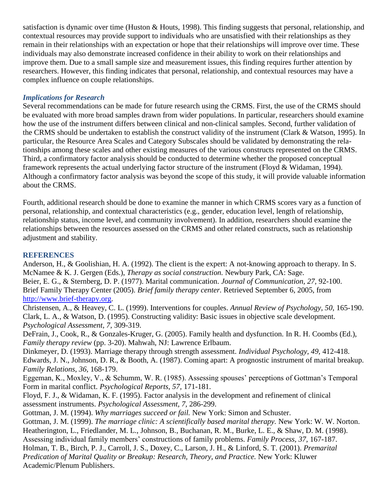satisfaction is dynamic over time (Huston & Houts, 1998). This finding suggests that personal, relationship, and contextual resources may provide support to individuals who are unsatisfied with their relationships as they remain in their relationships with an expectation or hope that their relationships will improve over time. These individuals may also demonstrate increased confidence in their ability to work on their relationships and improve them. Due to a small sample size and measurement issues, this finding requires further attention by researchers. However, this finding indicates that personal, relationship, and contextual resources may have a complex influence on couple relationships.

## *Implications for Research*

Several recommendations can be made for future research using the CRMS. First, the use of the CRMS should be evaluated with more broad samples drawn from wider populations. In particular, researchers should examine how the use of the instrument differs between clinical and non-clinical samples. Second, further validation of the CRMS should be undertaken to establish the construct validity of the instrument (Clark & Watson, 1995). In particular, the Resource Area Scales and Category Subscales should be validated by demonstrating the relationships among these scales and other existing measures of the various constructs represented on the CRMS. Third, a confirmatory factor analysis should be conducted to determine whether the proposed conceptual framework represents the actual underlying factor structure of the instrument (Floyd & Widaman, 1994). Although a confirmatory factor analysis was beyond the scope of this study, it will provide valuable information about the CRMS.

Fourth, additional research should be done to examine the manner in which CRMS scores vary as a function of personal, relationship, and contextual characteristics (e.g., gender, education level, length of relationship, relationship status, income level, and community involvement). In addition, researchers should examine the relationships between the resources assessed on the CRMS and other related constructs, such as relationship adjustment and stability.

# **REFERENCES**

Anderson, H., & Goolishian, H. A. (1992). The client is the expert: A not-knowing approach to therapy. In S. McNamee & K. J. Gergen (Eds.), *Therapy as social construction.* Newbury Park, CA: Sage. Beier, E. G., & Sternberg, D. P. (1977). Marital communication. *Journal of Communication, 27,* 92-100. Brief Family Therapy Center (2005). *Brief family therapy center.* Retrieved September 6, 2005, from [http://www.brief-therapy.org.](http://www.brief-therapy.org/) Christensen, A., & Heavey, C. L. (1999). Interventions for couples. *Annual Review of Psychology, 50,* 165-190.

Clark, L. A., & Watson, D. (1995). Constructing validity: Basic issues in objective scale development. *Psychological Assessment, 7,* 309-319.

DeFrain, J., Cook, R., & Gonzales-Kruger, G. (2005). Family health and dysfunction. In R. H. Coombs (Ed.), *Family therapy review* (pp. 3-20). Mahwah, NJ: Lawrence Erlbaum.

Dinkmeyer, D. (1993). Marriage therapy through strength assessment. *Individual Psychology, 49,* 412-418. Edwards, J. N., Johnson, D. R., & Booth, A. (1987). Coming apart: A prognostic instrument of marital breakup. *Family Relations, 36,* 168-179.

Eggeman, K., Moxley, V., & Schumm, W. R. (1985). Assessing spouses' perceptions of Gottman's Temporal Form in marital conflict. *Psychological Reports, 57,* 171-181.

Floyd, F. J., & Widaman, K. F. (1995). Factor analysis in the development and refinement of clinical assessment instruments. *Psychological Assessment, 7,* 286-299.

Gottman, J. M. (1994). *Why marriages succeed or fail.* New York: Simon and Schuster.

Gottman, J. M. (1999). *The marriage clinic: A scientifically based marital therapy.* New York: W. W. Norton. Heatherington, L., Friedlander, M. L., Johnson, B., Buchanan, R. M., Burke, L. E., & Shaw, D. M. (1998). Assessing individual family members" constructions of family problems. *Family Process, 37,* 167-187. Holman, T. B., Birch, P. J., Carroll, J. S., Doxey, C., Larson, J. H., & Linford, S. T. (2001). *Premarital Predication of Marital Quality or Breakup: Research, Theory, and Practice.* New York: Kluwer Academic/Plenum Publishers.